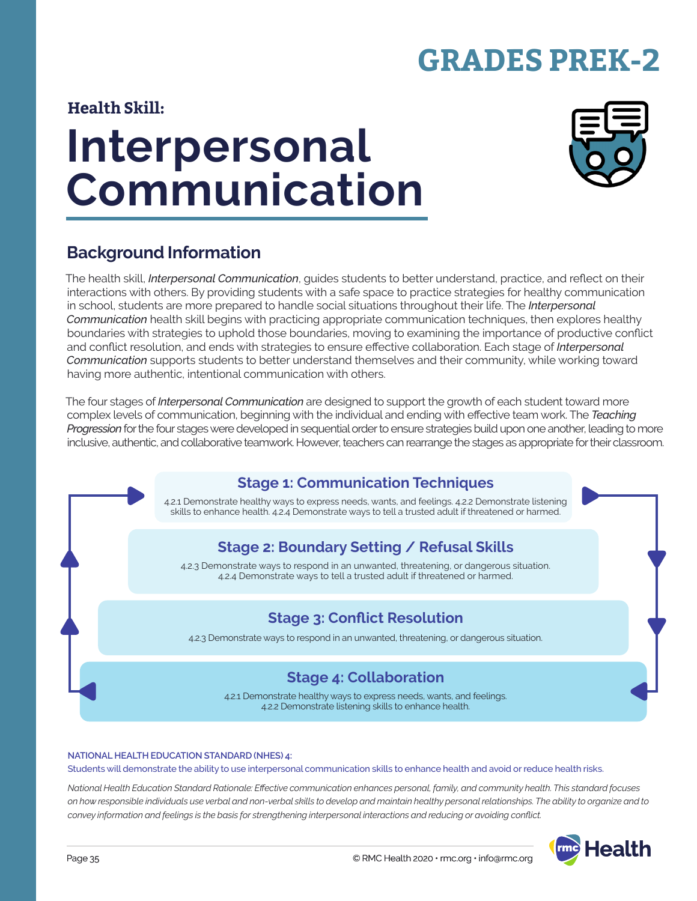# **GRADES PREK-2**

#### **Health Skill:**

# **Interpersonal Communication**



## **Background Information**

The health skill, *Interpersonal Communication*, guides students to better understand, practice, and reflect on their interactions with others. By providing students with a safe space to practice strategies for healthy communication in school, students are more prepared to handle social situations throughout their life. The *Interpersonal Communication* health skill begins with practicing appropriate communication techniques, then explores healthy boundaries with strategies to uphold those boundaries, moving to examining the importance of productive conflict and conflict resolution, and ends with strategies to ensure effective collaboration. Each stage of *Interpersonal Communication* supports students to better understand themselves and their community, while working toward having more authentic, intentional communication with others.

The four stages of *Interpersonal Communication* are designed to support the growth of each student toward more complex levels of communication, beginning with the individual and ending with effective team work. The *Teaching Progression* for the four stages were developed in sequential order to ensure strategies build upon one another, leading to more inclusive, authentic, and collaborative teamwork. However, teachers can rearrange the stages as appropriate for their classroom.

# **Stage 1: Communication Techniques**

4.2.1 Demonstrate healthy ways to express needs, wants, and feelings. 4.2.2 Demonstrate listening skills to enhance health. 4.2.4 Demonstrate ways to tell a trusted adult if threatened or harmed.

### **Stage 2: Boundary Setting / Refusal Skills**

4.2.3 Demonstrate ways to respond in an unwanted, threatening, or dangerous situation. 4.2.4 Demonstrate ways to tell a trusted adult if threatened or harmed.

### **Stage 3: Conflict Resolution**

4.2.3 Demonstrate ways to respond in an unwanted, threatening, or dangerous situation.

#### **Stage 4: Collaboration**

4.2.1 Demonstrate healthy ways to express needs, wants, and feelings. 4.2.2 Demonstrate listening skills to enhance health.

#### **NATIONAL HEALTH EDUCATION STANDARD (NHES) 4:**

Students will demonstrate the ability to use interpersonal communication skills to enhance health and avoid or reduce health risks.

*National Health Education Standard Rationale: Effective communication enhances personal, family, and community health. This standard focuses on how responsible individuals use verbal and non-verbal skills to develop and maintain healthy personal relationships. The ability to organize and to convey information and feelings is the basis for strengthening interpersonal interactions and reducing or avoiding conflict.*

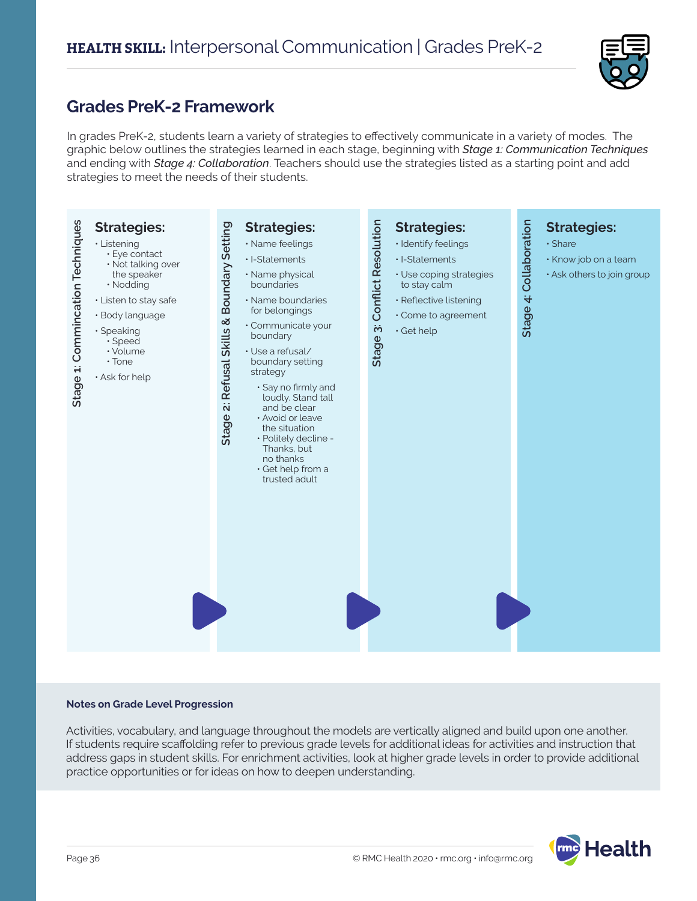

## **Grades PreK-2 Framework**

In grades PreK-2, students learn a variety of strategies to effectively communicate in a variety of modes. The graphic below outlines the strategies learned in each stage, beginning with *Stage 1: Communication Techniques* and ending with *Stage 4: Collaboration*. Teachers should use the strategies listed as a starting point and add strategies to meet the needs of their students.



#### **Notes on Grade Level Progression**

Activities, vocabulary, and language throughout the models are vertically aligned and build upon one another. If students require scaffolding refer to previous grade levels for additional ideas for activities and instruction that address gaps in student skills. For enrichment activities, look at higher grade levels in order to provide additional practice opportunities or for ideas on how to deepen understanding.

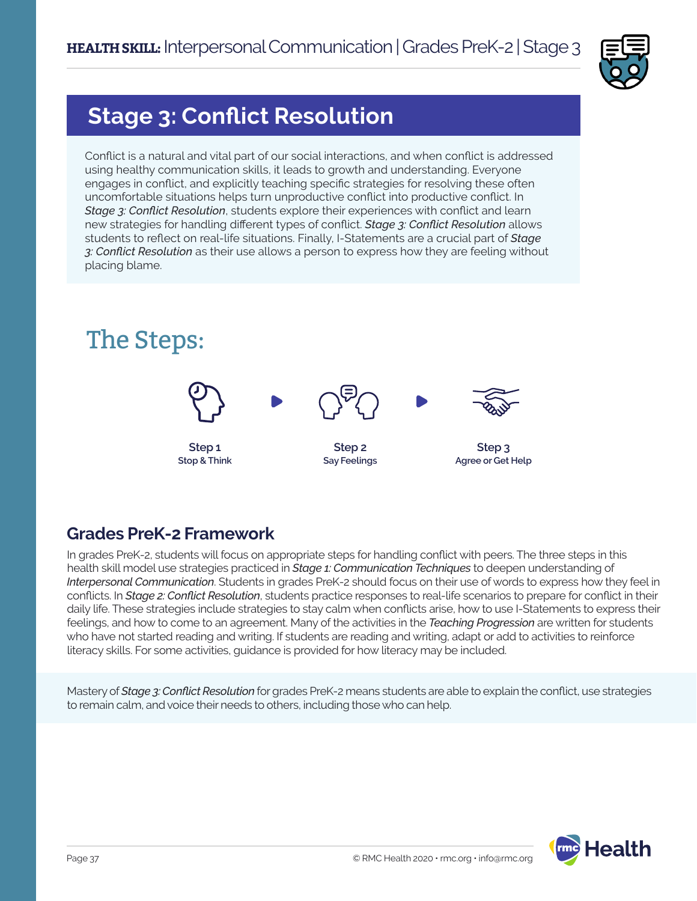

## **Stage 3: Conflict Resolution**

Conflict is a natural and vital part of our social interactions, and when conflict is addressed using healthy communication skills, it leads to growth and understanding. Everyone engages in conflict, and explicitly teaching specific strategies for resolving these often uncomfortable situations helps turn unproductive conflict into productive conflict. In *Stage 3: Conflict Resolution*, students explore their experiences with conflict and learn new strategies for handling different types of conflict. *Stage 3: Conflict Resolution* allows students to reflect on real-life situations. Finally, I-Statements are a crucial part of *Stage 3: Conflict Resolution* as their use allows a person to express how they are feeling without placing blame.



## **Grades PreK-2 Framework**

In grades PreK-2, students will focus on appropriate steps for handling conflict with peers. The three steps in this health skill model use strategies practiced in *Stage 1: Communication Techniques* to deepen understanding of *Interpersonal Communication*. Students in grades PreK-2 should focus on their use of words to express how they feel in conflicts. In *Stage 2: Conflict Resolution*, students practice responses to real-life scenarios to prepare for conflict in their daily life. These strategies include strategies to stay calm when conflicts arise, how to use I-Statements to express their feelings, and how to come to an agreement. Many of the activities in the *Teaching Progression* are written for students who have not started reading and writing. If students are reading and writing, adapt or add to activities to reinforce literacy skills. For some activities, guidance is provided for how literacy may be included.

Mastery of *Stage 3: Conflict Resolution* for grades PreK-2 means students are able to explain the conflict, use strategies to remain calm, and voice their needs to others, including those who can help.

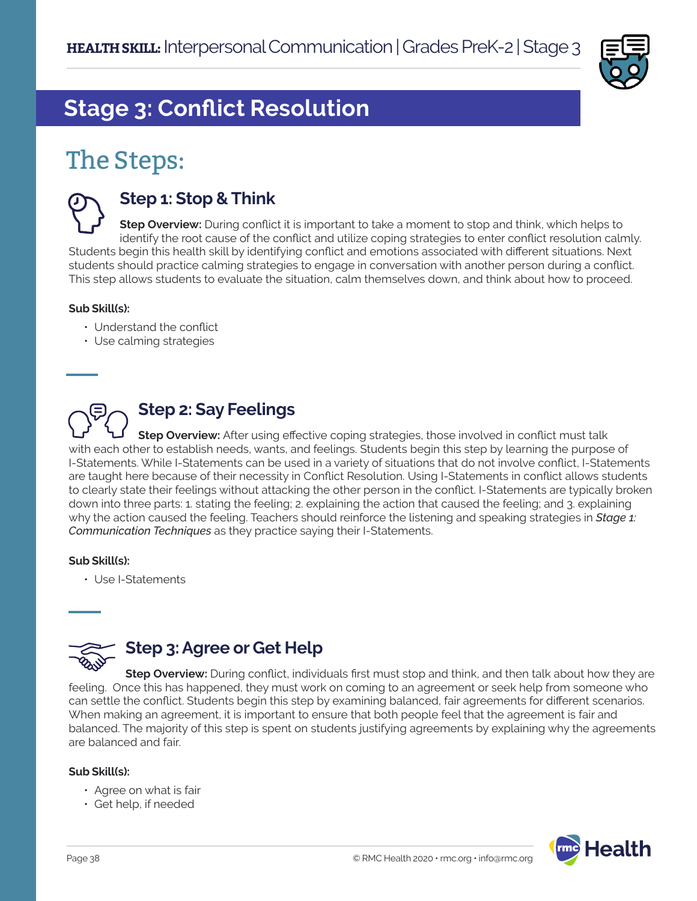

# **Stage 3: Conflict Resolution**

# The Steps:



### **Step 1: Stop & Think**

**Step Overview:** During conflict it is important to take a moment to stop and think, which helps to identify the root cause of the conflict and utilize coping strategies to enter conflict resolution calmly. Students begin this health skill by identifying conflict and emotions associated with different situations. Next students should practice calming strategies to engage in conversation with another person during a conflict. This step allows students to evaluate the situation, calm themselves down, and think about how to proceed.

#### **Sub Skill(s):**

- Understand the conflict
- Use calming strategies

## **Step 2: Say Feelings**

**Step Overview:** After using effective coping strategies, those involved in conflict must talk with each other to establish needs, wants, and feelings. Students begin this step by learning the purpose of I-Statements. While I-Statements can be used in a variety of situations that do not involve conflict, I-Statements are taught here because of their necessity in Conflict Resolution. Using I-Statements in conflict allows students to clearly state their feelings without attacking the other person in the conflict. I-Statements are typically broken down into three parts: 1. stating the feeling; 2. explaining the action that caused the feeling; and 3. explaining why the action caused the feeling. Teachers should reinforce the listening and speaking strategies in *Stage 1: Communication Techniques* as they practice saying their I-Statements.

#### **Sub Skill(s):**

• Use I-Statements



#### **Step 3: Agree or Get Help**

**Step Overview:** During conflict, individuals first must stop and think, and then talk about how they are feeling. Once this has happened, they must work on coming to an agreement or seek help from someone who can settle the conflict. Students begin this step by examining balanced, fair agreements for different scenarios. When making an agreement, it is important to ensure that both people feel that the agreement is fair and balanced. The majority of this step is spent on students justifying agreements by explaining why the agreements are balanced and fair.

#### **Sub Skill(s):**

- Agree on what is fair
- Get help, if needed